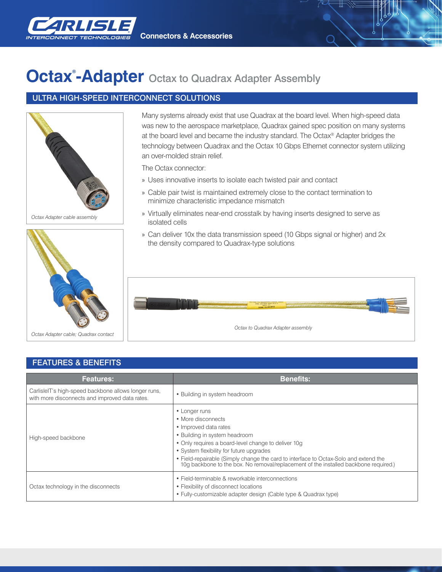

**Connectors & Accessories**

## **Octax<sup>®</sup>-Adapter** Octax to Quadrax Adapter Assembly

## ULTRA HIGH-SPEED INTERCONNECT SOLUTIONS





Many systems already exist that use Quadrax at the board level. When high-speed data was new to the aerospace marketplace, Quadrax gained spec position on many systems at the board level and became the industry standard. The Octax® Adapter bridges the technology between Quadrax and the Octax 10 Gbps Ethernet connector system utilizing an over-molded strain relief.

The Octax connector:

- » Uses innovative inserts to isolate each twisted pair and contact
- » Cable pair twist is maintained extremely close to the contact termination to minimize characteristic impedance mismatch
- » Virtually eliminates near-end crosstalk by having inserts designed to serve as isolated cells
- » Can deliver 10x the data transmission speed (10 Gbps signal or higher) and 2x the density compared to Quadrax-type solutions



| <b>FEAIURES &amp; BENEFIIS</b>                                                                         |                                                                                                                                                                                                                                                                                                                                                                               |
|--------------------------------------------------------------------------------------------------------|-------------------------------------------------------------------------------------------------------------------------------------------------------------------------------------------------------------------------------------------------------------------------------------------------------------------------------------------------------------------------------|
| <b>Features:</b>                                                                                       | <b>Benefits:</b>                                                                                                                                                                                                                                                                                                                                                              |
| CarlisleIT's high-speed backbone allows longer runs,<br>with more disconnects and improved data rates. | • Building in system headroom                                                                                                                                                                                                                                                                                                                                                 |
| High-speed backbone                                                                                    | • Longer runs<br>• More disconnects<br>• Improved data rates<br>• Building in system headroom<br>• Only requires a board-level change to deliver 10g<br>• System flexibility for future upgrades<br>• Field-repairable (Simply change the card to interface to Octax-Solo and extend the 10g backbone to the box. No removal/replacement of the installed backbone required.) |
| Octax technology in the disconnects                                                                    | • Field-terminable & reworkable interconnections<br>• Flexibility of disconnect locations<br>• Fully-customizable adapter design (Cable type & Quadrax type)                                                                                                                                                                                                                  |

## FEATURES & BENEFITS